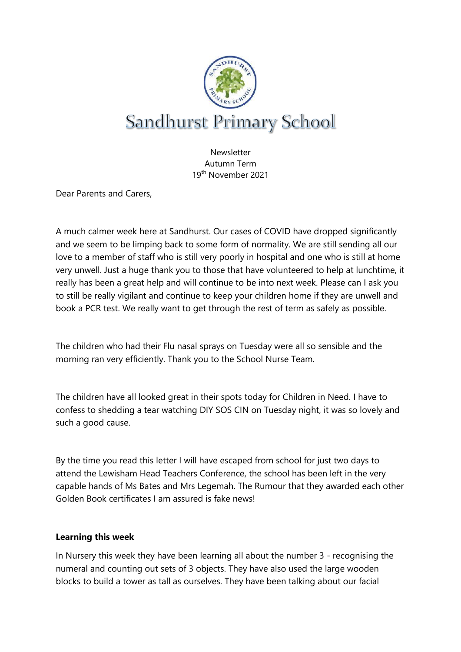

**Newsletter** Autumn Term 19th November 2021

Dear Parents and Carers,

A much calmer week here at Sandhurst. Our cases of COVID have dropped significantly and we seem to be limping back to some form of normality. We are still sending all our love to a member of staff who is still very poorly in hospital and one who is still at home very unwell. Just a huge thank you to those that have volunteered to help at lunchtime, it really has been a great help and will continue to be into next week. Please can I ask you to still be really vigilant and continue to keep your children home if they are unwell and book a PCR test. We really want to get through the rest of term as safely as possible.

The children who had their Flu nasal sprays on Tuesday were all so sensible and the morning ran very efficiently. Thank you to the School Nurse Team.

The children have all looked great in their spots today for Children in Need. I have to confess to shedding a tear watching DIY SOS CIN on Tuesday night, it was so lovely and such a good cause.

By the time you read this letter I will have escaped from school for just two days to attend the Lewisham Head Teachers Conference, the school has been left in the very capable hands of Ms Bates and Mrs Legemah. The Rumour that they awarded each other Golden Book certificates I am assured is fake news!

### **Learning this week**

In Nursery this week they have been learning all about the number 3 - recognising the numeral and counting out sets of 3 objects. They have also used the large wooden blocks to build a tower as tall as ourselves. They have been talking about our facial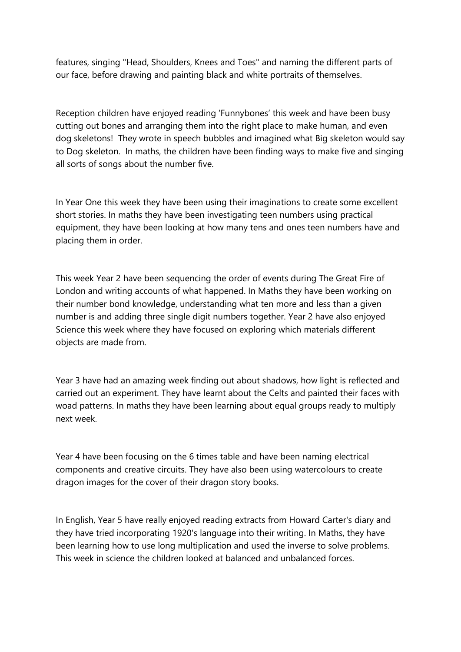features, singing "Head, Shoulders, Knees and Toes" and naming the different parts of our face, before drawing and painting black and white portraits of themselves.

Reception children have enjoyed reading 'Funnybones' this week and have been busy cutting out bones and arranging them into the right place to make human, and even dog skeletons! They wrote in speech bubbles and imagined what Big skeleton would say to Dog skeleton. In maths, the children have been finding ways to make five and singing all sorts of songs about the number five.

In Year One this week they have been using their imaginations to create some excellent short stories. In maths they have been investigating teen numbers using practical equipment, they have been looking at how many tens and ones teen numbers have and placing them in order.

This week Year 2 have been sequencing the order of events during The Great Fire of London and writing accounts of what happened. In Maths they have been working on their number bond knowledge, understanding what ten more and less than a given number is and adding three single digit numbers together. Year 2 have also enjoyed Science this week where they have focused on exploring which materials different objects are made from.

Year 3 have had an amazing week finding out about shadows, how light is reflected and carried out an experiment. They have learnt about the Celts and painted their faces with woad patterns. In maths they have been learning about equal groups ready to multiply next week.

Year 4 have been focusing on the 6 times table and have been naming electrical components and creative circuits. They have also been using watercolours to create dragon images for the cover of their dragon story books.

In English, Year 5 have really enjoyed reading extracts from Howard Carter's diary and they have tried incorporating 1920's language into their writing. In Maths, they have been learning how to use long multiplication and used the inverse to solve problems. This week in science the children looked at balanced and unbalanced forces.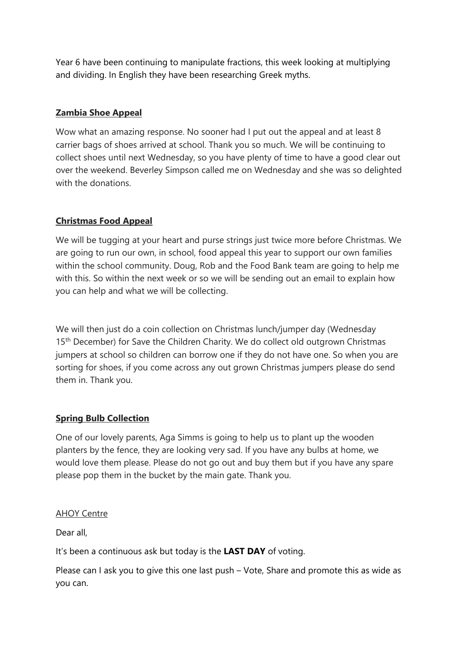Year 6 have been continuing to manipulate fractions, this week looking at multiplying and dividing. In English they have been researching Greek myths.

## **Zambia Shoe Appeal**

Wow what an amazing response. No sooner had I put out the appeal and at least 8 carrier bags of shoes arrived at school. Thank you so much. We will be continuing to collect shoes until next Wednesday, so you have plenty of time to have a good clear out over the weekend. Beverley Simpson called me on Wednesday and she was so delighted with the donations.

# **Christmas Food Appeal**

We will be tugging at your heart and purse strings just twice more before Christmas. We are going to run our own, in school, food appeal this year to support our own families within the school community. Doug, Rob and the Food Bank team are going to help me with this. So within the next week or so we will be sending out an email to explain how you can help and what we will be collecting.

We will then just do a coin collection on Christmas lunch/jumper day (Wednesday 15<sup>th</sup> December) for Save the Children Charity. We do collect old outgrown Christmas jumpers at school so children can borrow one if they do not have one. So when you are sorting for shoes, if you come across any out grown Christmas jumpers please do send them in. Thank you.

# **Spring Bulb Collection**

One of our lovely parents, Aga Simms is going to help us to plant up the wooden planters by the fence, they are looking very sad. If you have any bulbs at home, we would love them please. Please do not go out and buy them but if you have any spare please pop them in the bucket by the main gate. Thank you.

### AHOY Centre

Dear all,

It's been a continuous ask but today is the **LAST DAY** of voting.

Please can I ask you to give this one last push – Vote, Share and promote this as wide as you can.